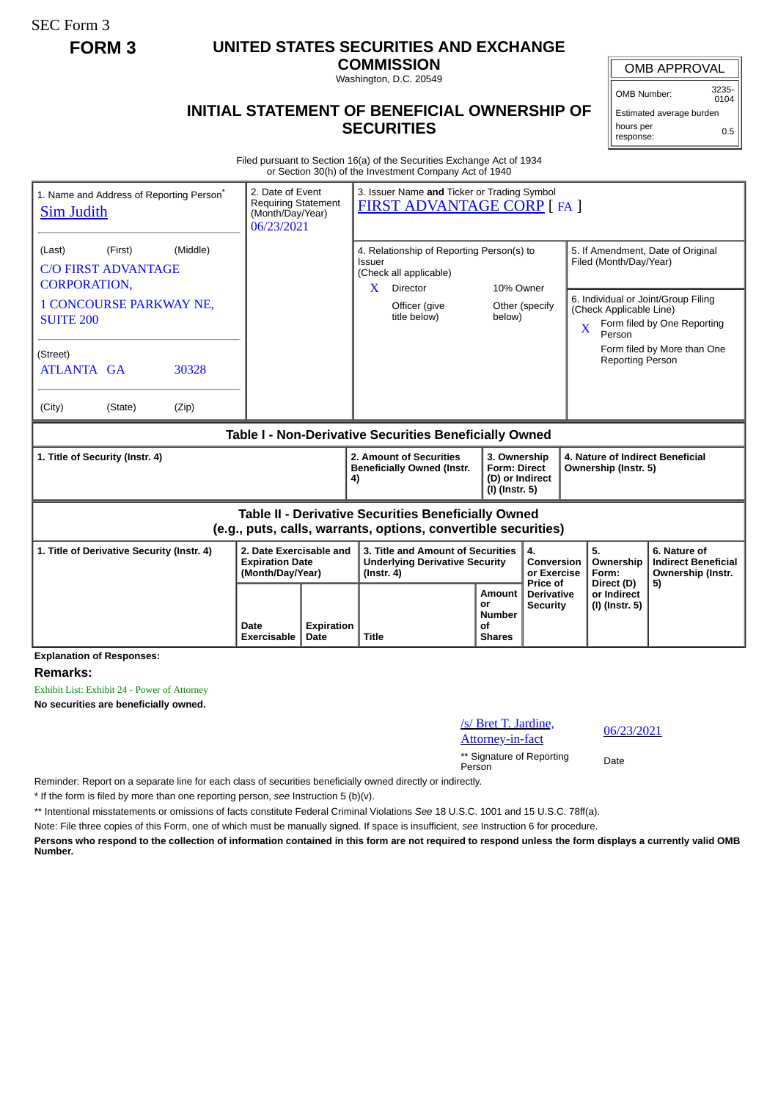SEC Form 3

## **FORM 3 UNITED STATES SECURITIES AND EXCHANGE**

**COMMISSION** Washington, D.C. 20549

## **INITIAL STATEMENT OF BENEFICIAL OWNERSHIP OF SECURITIES**

OMB APPROVAL

 $0104$ 

Estimated average burden hours per response: 0.5

Filed pursuant to Section 16(a) of the Securities Exchange Act of 1934 or Section 30(h) of the Investment Company Act of 1940

| 1. Name and Address of Reporting Person <sup>®</sup><br><b>Sim Judith</b>          | 2. Date of Event<br><b>Requiring Statement</b><br>(Month/Day/Year)<br>06/23/2021 |    | 3. Issuer Name and Ticker or Trading Symbol<br><b>FIRST ADVANTAGE CORP [FA ]</b>                                      |                                                                          |                                             |                                                                               |                                                                       |
|------------------------------------------------------------------------------------|----------------------------------------------------------------------------------|----|-----------------------------------------------------------------------------------------------------------------------|--------------------------------------------------------------------------|---------------------------------------------|-------------------------------------------------------------------------------|-----------------------------------------------------------------------|
| (Middle)<br>(Last)<br>(First)<br><b>C/O FIRST ADVANTAGE</b><br><b>CORPORATION,</b> |                                                                                  |    | 4. Relationship of Reporting Person(s) to<br>Issuer<br>(Check all applicable)<br>X<br>Director<br>10% Owner           |                                                                          |                                             | 5. If Amendment, Date of Original<br>Filed (Month/Day/Year)                   |                                                                       |
| <b>1 CONCOURSE PARKWAY NE,</b><br><b>SUITE 200</b>                                 |                                                                                  |    | Officer (give<br>title below)                                                                                         | below)                                                                   | Other (specify                              | 6. Individual or Joint/Group Filing<br>(Check Applicable Line)<br>X<br>Person | Form filed by One Reporting                                           |
| (Street)<br><b>ATLANTA GA</b><br>30328                                             |                                                                                  |    |                                                                                                                       |                                                                          |                                             | <b>Reporting Person</b>                                                       | Form filed by More than One                                           |
| (City)<br>(State)<br>(Zip)                                                         |                                                                                  |    |                                                                                                                       |                                                                          |                                             |                                                                               |                                                                       |
| Table I - Non-Derivative Securities Beneficially Owned                             |                                                                                  |    |                                                                                                                       |                                                                          |                                             |                                                                               |                                                                       |
|                                                                                    |                                                                                  |    |                                                                                                                       |                                                                          |                                             |                                                                               |                                                                       |
| 1. Title of Security (Instr. 4)                                                    |                                                                                  | 4) | 2. Amount of Securities<br><b>Beneficially Owned (Instr.</b>                                                          | 3. Ownership<br><b>Form: Direct</b><br>(D) or Indirect<br>(I) (Instr. 5) |                                             | 4. Nature of Indirect Beneficial<br>Ownership (Instr. 5)                      |                                                                       |
|                                                                                    |                                                                                  |    | Table II - Derivative Securities Beneficially Owned<br>(e.g., puts, calls, warrants, options, convertible securities) |                                                                          |                                             |                                                                               |                                                                       |
| 1. Title of Derivative Security (Instr. 4)                                         | 2. Date Exercisable and<br><b>Expiration Date</b><br>(Month/Day/Year)            |    | 3. Title and Amount of Securities<br><b>Underlying Derivative Security</b><br>$($ lnstr. 4 $)$                        |                                                                          | 4.<br>Conversion<br>or Exercise<br>Price of | 5.<br>Ownership<br>Form:<br>Direct (D)                                        | 6. Nature of<br><b>Indirect Beneficial</b><br>Ownership (Instr.<br>5) |

**Remarks:**

Exhibit List: Exhibit 24 - Power of Attorney **No securities are beneficially owned.**

/s/ Bret T. Jardine,

 $\frac{06}{23/2021}$ .  $\frac{06}{23/2021}$ 

\*\* Signature of Reporting Person Date

Reminder: Report on a separate line for each class of securities beneficially owned directly or indirectly.

\* If the form is filed by more than one reporting person, *see* Instruction 5 (b)(v).

\*\* Intentional misstatements or omissions of facts constitute Federal Criminal Violations *See* 18 U.S.C. 1001 and 15 U.S.C. 78ff(a).

Note: File three copies of this Form, one of which must be manually signed. If space is insufficient, *see* Instruction 6 for procedure.

**Persons who respond to the collection of information contained in this form are not required to respond unless the form displays a currently valid OMB Number.**

OMB Number: 3235-